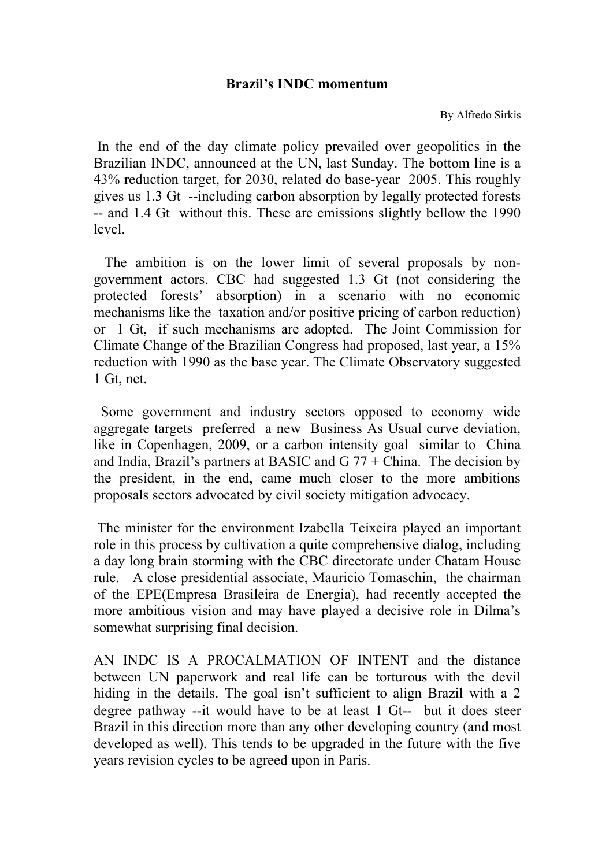## **Brazil's INDC momentum**

By Alfredo Sirkis

In the end of the day climate policy prevailed over geopolitics in the Brazilian INDC, announced at the UN, last Sunday. The bottom line is a 43% reduction target, for 2030, related do base-year 2005. This roughly gives us 1.3 Gt --including carbon absorption by legally protected forests -- and 1.4 Gt without this. These are emissions slightly bellow the 1990 level.

 The ambition is on the lower limit of several proposals by nongovernment actors. CBC had suggested 1.3 Gt (not considering the protected forests' absorption) in a scenario with no economic mechanisms like the taxation and/or positive pricing of carbon reduction) or 1 Gt, if such mechanisms are adopted. The Joint Commission for Climate Change of the Brazilian Congress had proposed, last year, a 15% reduction with 1990 as the base year. The Climate Observatory suggested 1 Gt, net.

 Some government and industry sectors opposed to economy wide aggregate targets preferred a new Business As Usual curve deviation, like in Copenhagen, 2009, or a carbon intensity goal similar to China and India, Brazil's partners at BASIC and  $G$  77 + China. The decision by the president, in the end, came much closer to the more ambitions proposals sectors advocated by civil society mitigation advocacy.

The minister for the environment Izabella Teixeira played an important role in this process by cultivation a quite comprehensive dialog, including a day long brain storming with the CBC directorate under Chatam House rule. A close presidential associate, Mauricio Tomaschin, the chairman of the EPE(Empresa Brasileira de Energia), had recently accepted the more ambitious vision and may have played a decisive role in Dilma's somewhat surprising final decision.

AN INDC IS A PROCALMATION OF INTENT and the distance between UN paperwork and real life can be torturous with the devil hiding in the details. The goal isn't sufficient to align Brazil with a 2 degree pathway --it would have to be at least 1 Gt-- but it does steer Brazil in this direction more than any other developing country (and most developed as well). This tends to be upgraded in the future with the five years revision cycles to be agreed upon in Paris.